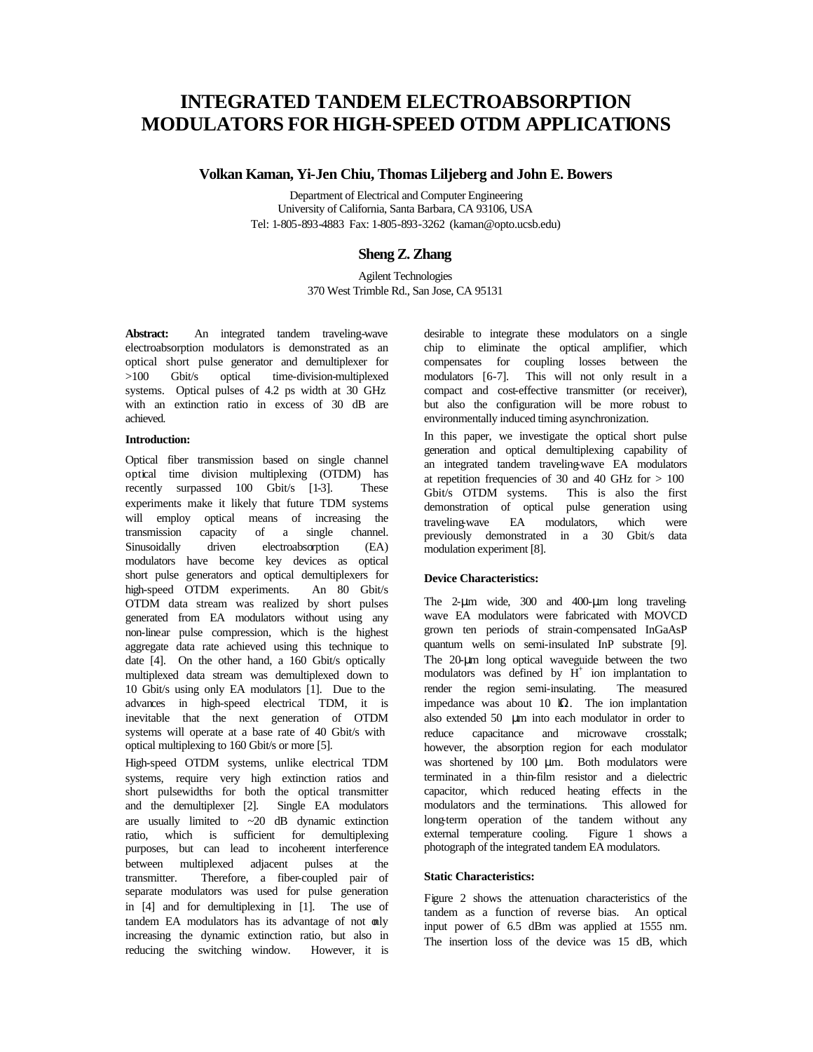# **INTEGRATED TANDEM ELECTROABSORPTION MODULATORS FOR HIGH-SPEED OTDM APPLICATIONS**

# **Volkan Kaman, Yi-Jen Chiu, Thomas Liljeberg and John E. Bowers**

Department of Electrical and Computer Engineering University of California, Santa Barbara, CA 93106, USA Tel: 1-805-893-4883 Fax: 1-805-893-3262 (kaman@opto.ucsb.edu)

# **Sheng Z. Zhang**

Agilent Technologies 370 West Trimble Rd., San Jose, CA 95131

**Abstract:** An integrated tandem traveling-wave electroabsorption modulators is demonstrated as an optical short pulse generator and demultiplexer for >100 Gbit/s optical time-division-multiplexed systems. Optical pulses of 4.2 ps width at 30 GHz with an extinction ratio in excess of 30 dB are achieved.

#### **Introduction:**

Optical fiber transmission based on single channel optical time division multiplexing (OTDM) has recently surpassed 100 Gbit/s [1-3]. These experiments make it likely that future TDM systems will employ optical means of increasing the transmission capacity of a single channel. Sinusoidally driven electroabsorption (EA) modulators have become key devices as optical short pulse generators and optical demultiplexers for high-speed OTDM experiments. An 80 Gbit/s OTDM data stream was realized by short pulses generated from EA modulators without using any non-linear pulse compression, which is the highest aggregate data rate achieved using this technique to date [4]. On the other hand, a 160 Gbit/s optically multiplexed data stream was demultiplexed down to 10 Gbit/s using only EA modulators [1]. Due to the advances in high-speed electrical TDM, it is inevitable that the next generation of OTDM systems will operate at a base rate of 40 Gbit/s with optical multiplexing to 160 Gbit/s or more [5].

High-speed OTDM systems, unlike electrical TDM systems, require very high extinction ratios and short pulsewidths for both the optical transmitter and the demultiplexer [2]. Single EA modulators are usually limited to  $\sim$  20 dB dynamic extinction ratio, which is sufficient for demultiplexing purposes, but can lead to incoherent interference between multiplexed adjacent pulses at the transmitter. Therefore, a fiber-coupled pair of separate modulators was used for pulse generation in [4] and for demultiplexing in [1]. The use of tandem EA modulators has its advantage of not only increasing the dynamic extinction ratio, but also in reducing the switching window. However, it is desirable to integrate these modulators on a single chip to eliminate the optical amplifier, which compensates for coupling losses between the modulators [6-7]. This will not only result in a compact and cost-effective transmitter (or receiver), but also the configuration will be more robust to environmentally induced timing asynchronization.

In this paper, we investigate the optical short pulse generation and optical demultiplexing capability of an integrated tandem traveling-wave EA modulators at repetition frequencies of 30 and 40 GHz for  $> 100$ Gbit/s OTDM systems. This is also the first demonstration of optical pulse generation using traveling-wave EA modulators, which were previously demonstrated in a 30 Gbit/s data modulation experiment [8].

#### **Device Characteristics:**

The 2-μm wide, 300 and 400-μm long travelingwave EA modulators were fabricated with MOVCD grown ten periods of strain-compensated InGaAsP quantum wells on semi-insulated InP substrate [9]. The 20-μm long optical waveguide between the two modulators was defined by  $H^+$  ion implantation to render the region semi-insulating. The measured impedance was about 10  $\Omega$ . The ion implantation also extended 50 μm into each modulator in order to reduce capacitance and microwave crosstalk; however, the absorption region for each modulator was shortened by 100 μm. Both modulators were terminated in a thin-film resistor and a dielectric capacitor, which reduced heating effects in the modulators and the terminations. This allowed for long-term operation of the tandem without any external temperature cooling. Figure 1 shows a photograph of the integrated tandem EA modulators.

#### **Static Characteristics:**

Figure 2 shows the attenuation characteristics of the tandem as a function of reverse bias. An optical input power of 6.5 dBm was applied at 1555 nm. The insertion loss of the device was 15 dB, which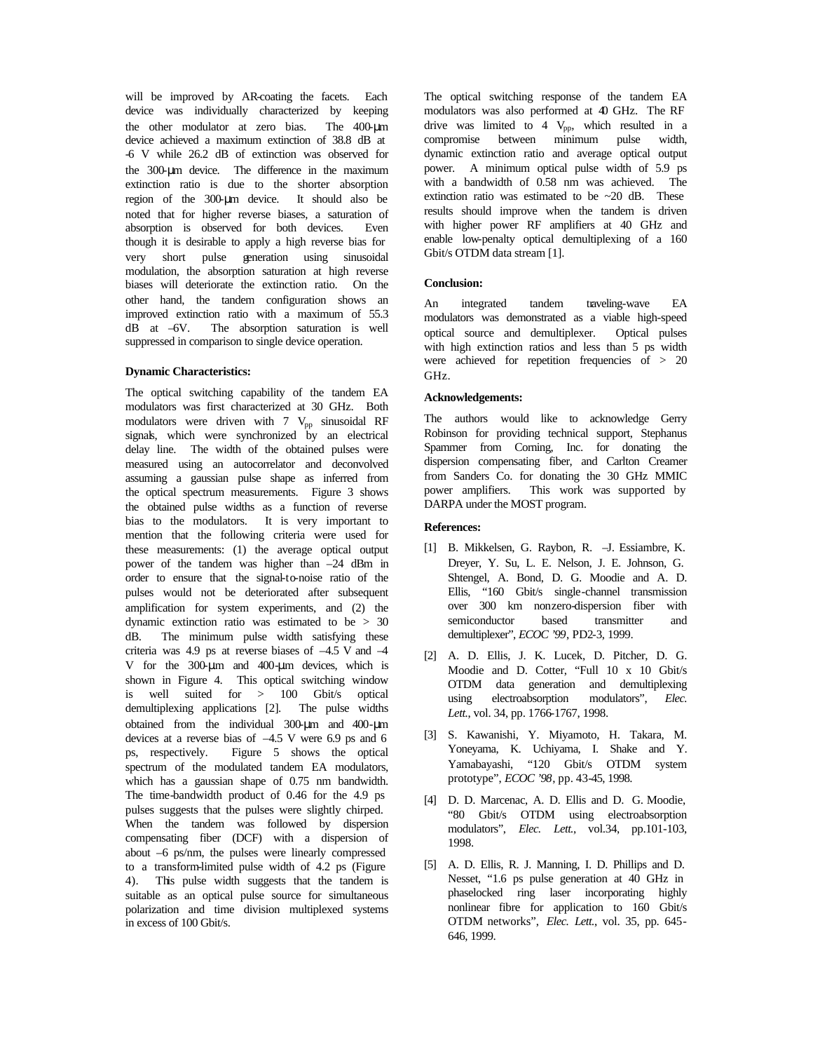will be improved by AR-coating the facets. Each device was individually characterized by keeping the other modulator at zero bias. The 400-μm device achieved a maximum extinction of 38.8 dB at -6 V while 26.2 dB of extinction was observed for the 300-μm device. The difference in the maximum extinction ratio is due to the shorter absorption region of the 300-μm device. It should also be noted that for higher reverse biases, a saturation of absorption is observed for both devices. Even though it is desirable to apply a high reverse bias for very short pulse generation using sinusoidal modulation, the absorption saturation at high reverse biases will deteriorate the extinction ratio. On the other hand, the tandem configuration shows an improved extinction ratio with a maximum of 55.3 dB at –6V. The absorption saturation is well suppressed in comparison to single device operation.

#### **Dynamic Characteristics:**

The optical switching capability of the tandem EA modulators was first characterized at 30 GHz. Both modulators were driven with  $7 \text{ V}_{\text{pp}}$  sinusoidal RF signals, which were synchronized by an electrical delay line. The width of the obtained pulses were measured using an autocorrelator and deconvolved assuming a gaussian pulse shape as inferred from the optical spectrum measurements. Figure 3 shows the obtained pulse widths as a function of reverse bias to the modulators. It is very important to mention that the following criteria were used for these measurements: (1) the average optical output power of the tandem was higher than –24 dBm in order to ensure that the signal-to-noise ratio of the pulses would not be deteriorated after subsequent amplification for system experiments, and (2) the dynamic extinction ratio was estimated to be > 30 dB. The minimum pulse width satisfying these criteria was 4.9 ps at reverse biases of  $-4.5$  V and  $-4$ V for the 300-μm and 400-μm devices, which is shown in Figure 4. This optical switching window is well suited for > 100 Gbit/s optical demultiplexing applications [2]. The pulse widths obtained from the individual 300-μm and 400-μm devices at a reverse bias of –4.5 V were 6.9 ps and 6 ps, respectively. Figure 5 shows the optical spectrum of the modulated tandem EA modulators, which has a gaussian shape of 0.75 nm bandwidth. The time-bandwidth product of 0.46 for the 4.9 ps pulses suggests that the pulses were slightly chirped. When the tandem was followed by dispersion compensating fiber (DCF) with a dispersion of about –6 ps/nm, the pulses were linearly compressed to a transform-limited pulse width of 4.2 ps (Figure 4). This pulse width suggests that the tandem is suitable as an optical pulse source for simultaneous polarization and time division multiplexed systems in excess of 100 Gbit/s.

The optical switching response of the tandem EA modulators was also performed at 40 GHz. The RF drive was limited to  $4$  V<sub>pp</sub>, which resulted in a compromise between minimum pulse width, dynamic extinction ratio and average optical output power. A minimum optical pulse width of 5.9 ps with a bandwidth of 0.58 nm was achieved. The extinction ratio was estimated to be ~20 dB. These results should improve when the tandem is driven with higher power RF amplifiers at 40 GHz and enable low-penalty optical demultiplexing of a 160 Gbit/s OTDM data stream [1].

## **Conclusion:**

An integrated tandem traveling-wave EA modulators was demonstrated as a viable high-speed optical source and demultiplexer. Optical pulses with high extinction ratios and less than 5 ps width were achieved for repetition frequencies of  $> 20$ GHz.

## **Acknowledgements:**

The authors would like to acknowledge Gerry Robinson for providing technical support, Stephanus Spammer from Corning, Inc. for donating the dispersion compensating fiber, and Carlton Creamer from Sanders Co. for donating the 30 GHz MMIC power amplifiers. This work was supported by DARPA under the MOST program.

# **References:**

- [1] B. Mikkelsen, G. Raybon, R. –J. Essiambre, K. Dreyer, Y. Su, L. E. Nelson, J. E. Johnson, G. Shtengel, A. Bond, D. G. Moodie and A. D. Ellis, "160 Gbit/s single-channel transmission over 300 km nonzero-dispersion fiber with semiconductor based transmitter and demultiplexer", *ECOC '99*, PD2-3, 1999.
- [2] A. D. Ellis, J. K. Lucek, D. Pitcher, D. G. Moodie and D. Cotter, "Full 10 x 10 Gbit/s OTDM data generation and demultiplexing using electroabsorption modulators", *Elec. Lett.*, vol. 34, pp. 1766-1767, 1998.
- [3] S. Kawanishi, Y. Miyamoto, H. Takara, M. Yoneyama, K. Uchiyama, I. Shake and Y. Yamabayashi, "120 Gbit/s OTDM system prototype", *ECOC '98*, pp. 43-45, 1998.
- [4] D. D. Marcenac, A. D. Ellis and D. G. Moodie, "80 Gbit/s OTDM using electroabsorption modulators", *Elec. Lett.*, vol.34, pp.101-103, 1998.
- [5] A. D. Ellis, R. J. Manning, I. D. Phillips and D. Nesset, "1.6 ps pulse generation at 40 GHz in phaselocked ring laser incorporating highly nonlinear fibre for application to 160 Gbit/s OTDM networks", *Elec. Lett.*, vol. 35, pp. 645- 646, 1999.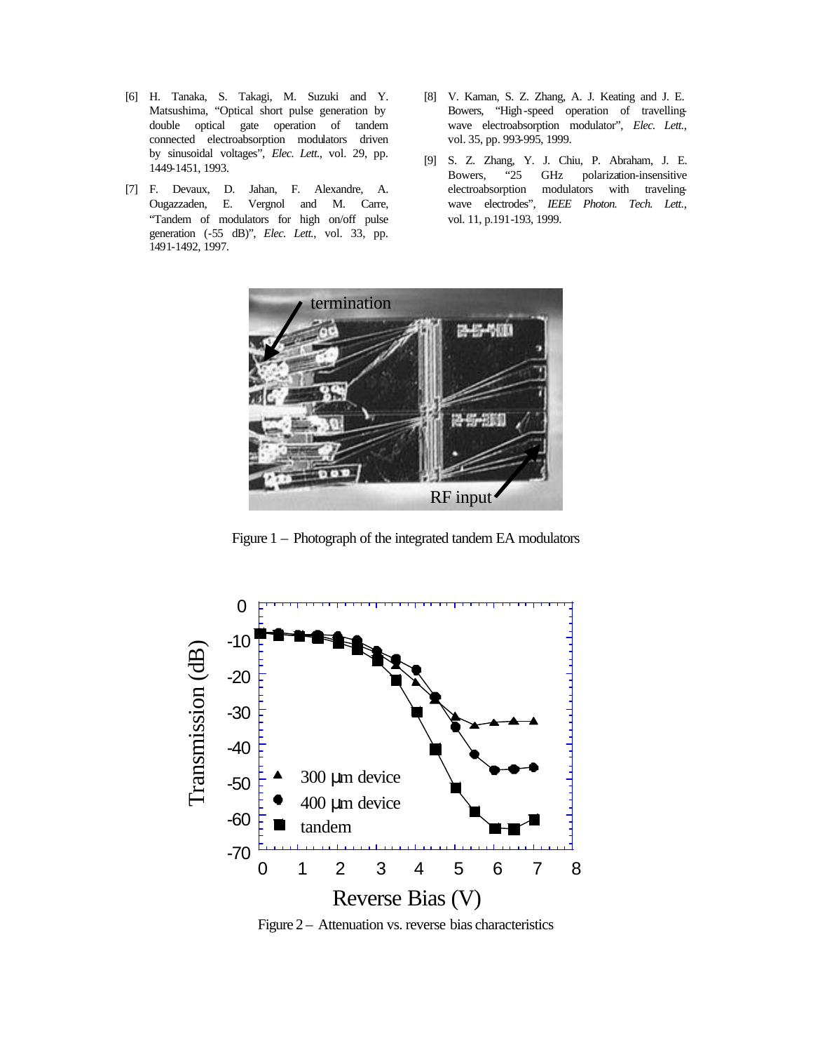- [6] H. Tanaka, S. Takagi, M. Suzuki and Y. Matsushima, "Optical short pulse generation by double optical gate operation of tandem connected electroabsorption modulators driven by sinusoidal voltages", *Elec. Lett.*, vol. 29, pp. 1449-1451, 1993.
- [7] F. Devaux, D. Jahan, F. Alexandre, A. Ougazzaden, E. Vergnol and M. Carre, "Tandem of modulators for high on/off pulse generation (-55 dB)", *Elec. Lett.*, vol. 33, pp. 1491-1492, 1997.
- [8] V. Kaman, S. Z. Zhang, A. J. Keating and J. E. Bowers, "High-speed operation of travellingwave electroabsorption modulator", *Elec. Lett.*, vol. 35, pp. 993-995, 1999.
- [9] S. Z. Zhang, Y. J. Chiu, P. Abraham, J. E. Bowers, "25 GHz polarization-insensitive electroabsorption modulators with travelingwave electrodes", *IEEE Photon. Tech. Lett*., vol. 11, p.191-193, 1999.



Figure 1 – Photograph of the integrated tandem EA modulators



Figure 2 – Attenuation vs. reverse bias characteristics